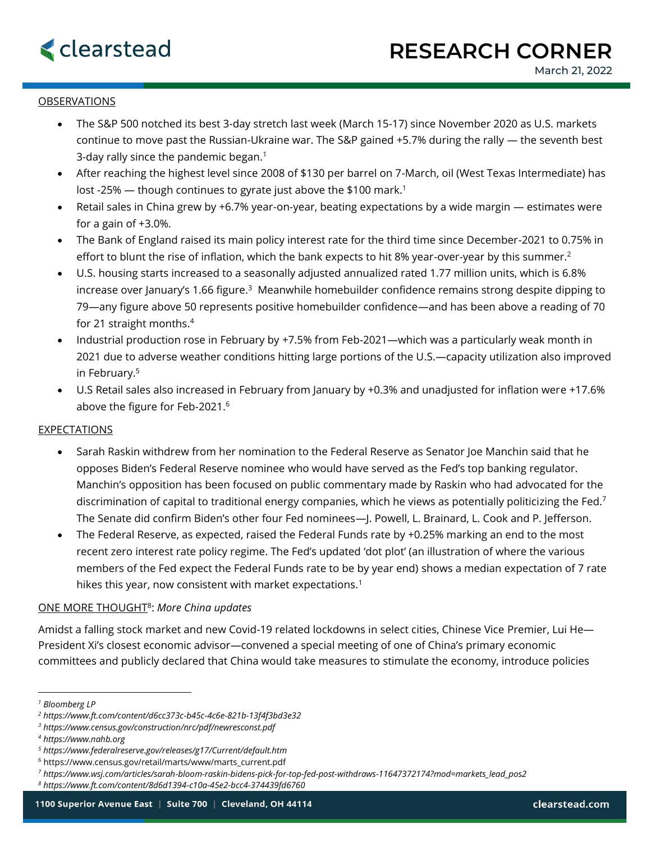## OBSERVATIONS

- The S&P 500 notched its best 3-day stretch last week (March 15-17) since November 2020 as U.S. markets continue to move past the Russian-Ukraine war. The S&P gained +5.7% during the rally — the seventh best 3-day rally since the pandemic began.<sup>1</sup>
- After reaching the highest level since 2008 of \$130 per barrel on 7-March, oil (West Texas Intermediate) has lost -25%  $-$  though continues to gyrate just above the \$100 mark.<sup>1</sup>
- Retail sales in China grew by +6.7% year-on-year, beating expectations by a wide margin estimates were for a gain of +3.0%.
- The Bank of England raised its main policy interest rate for the third time since December-2021 to 0.75% in effort to blunt the rise of inflation, which the bank expects to hit 8% year-over-year by this summer.<sup>2</sup>
- U.S. housing starts increased to a seasonally adjusted annualized rated 1.77 million units, which is 6.8% increase over January's 1.66 figure.<sup>3</sup> Meanwhile homebuilder confidence remains strong despite dipping to 79—any figure above 50 represents positive homebuilder confidence—and has been above a reading of 70 for 21 straight months.<sup>4</sup>
- Industrial production rose in February by +7.5% from Feb-2021—which was a particularly weak month in 2021 due to adverse weather conditions hitting large portions of the U.S.—capacity utilization also improved in February.<sup>5</sup>
- U.S Retail sales also increased in February from January by +0.3% and unadjusted for inflation were +17.6% above the figure for Feb-2021.<sup>6</sup>

## EXPECTATIONS

- Sarah Raskin withdrew from her nomination to the Federal Reserve as Senator Joe Manchin said that he opposes Biden's Federal Reserve nominee who would have served as the Fed's top banking regulator. Manchin's opposition has been focused on public commentary made by Raskin who had advocated for the discrimination of capital to traditional energy companies, which he views as potentially politicizing the Fed.<sup>7</sup> The Senate did confirm Biden's other four Fed nominees—J. Powell, L. Brainard, L. Cook and P. Jefferson.
- The Federal Reserve, as expected, raised the Federal Funds rate by +0.25% marking an end to the most recent zero interest rate policy regime. The Fed's updated 'dot plot' (an illustration of where the various members of the Fed expect the Federal Funds rate to be by year end) shows a median expectation of 7 rate hikes this year, now consistent with market expectations.<sup>1</sup>

## ONE MORE THOUGHT<sup>8</sup> : *More China updates*

Amidst a falling stock market and new Covid-19 related lockdowns in select cities, Chinese Vice Premier, Lui He— President Xi's closest economic advisor—convened a special meeting of one of China's primary economic committees and publicly declared that China would take measures to stimulate the economy, introduce policies

*<sup>1</sup> Bloomberg LP*

*<sup>2</sup> https://www.ft.com/content/d6cc373c-b45c-4c6e-821b-13f4f3bd3e32*

*<sup>3</sup> https://www.census.gov/construction/nrc/pdf/newresconst.pdf*

*<sup>4</sup> https://www.nahb.org*

*<sup>5</sup> https://www.federalreserve.gov/releases/g17/Current/default.htm*

<sup>&</sup>lt;sup>6</sup> https://www.census.gov/retail/marts/www/marts\_current.pdf

*<sup>7</sup> https://www.wsj.com/articles/sarah-bloom-raskin-bidens-pick-for-top-fed-post-withdraws-11647372174?mod=markets\_lead\_pos2*

*<sup>8</sup> https://www.ft.com/content/8d6d1394-c10a-45e2-bcc4-374439fd6760*